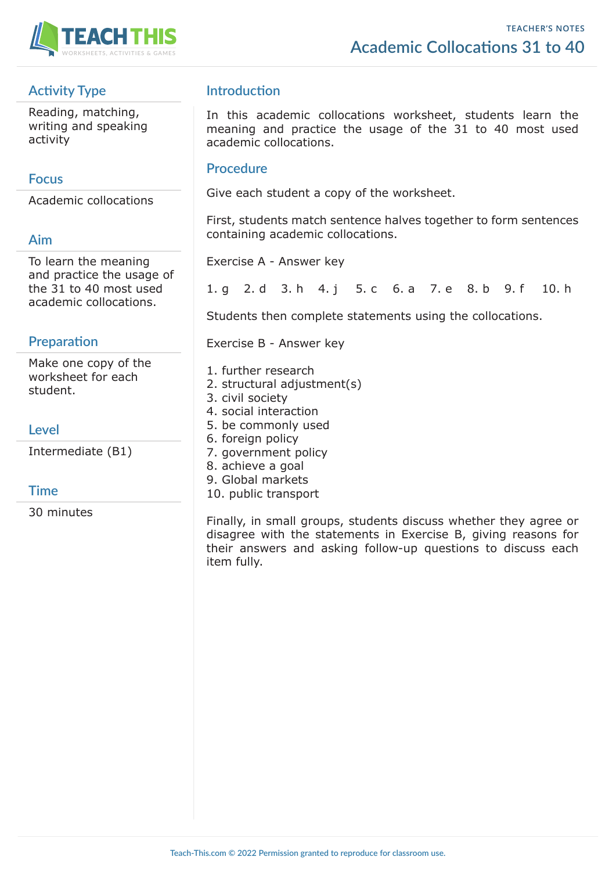

# **Activity Type**

Reading, matching, writing and speaking activity

## **Focus**

Academic collocations

#### **Aim**

To learn the meaning and practice the usage of the 31 to 40 most used academic collocations.

## **Preparation**

Make one copy of the worksheet for each student.

**Level**

Intermediate (B1)

#### **Time**

30 minutes

## **Introduction**

In this academic collocations worksheet, students learn the meaning and practice the usage of the 31 to 40 most used academic collocations.

#### **Procedure**

Give each student a copy of the worksheet.

First, students match sentence halves together to form sentences containing academic collocations.

Exercise A - Answer key

1. g 2. d 3. h 4. j 5. c 6. a 7. e 8. b 9. f 10. h

Students then complete statements using the collocations.

Exercise B - Answer key

- 1. further research
- 2. structural adjustment(s)
- 3. civil society
- 4. social interaction
- 5. be commonly used
- 6. foreign policy
- 7. government policy
- 8. achieve a goal
- 9. Global markets
- 10. public transport

Finally, in small groups, students discuss whether they agree or disagree with the statements in Exercise B, giving reasons for their answers and asking follow-up questions to discuss each item fully.